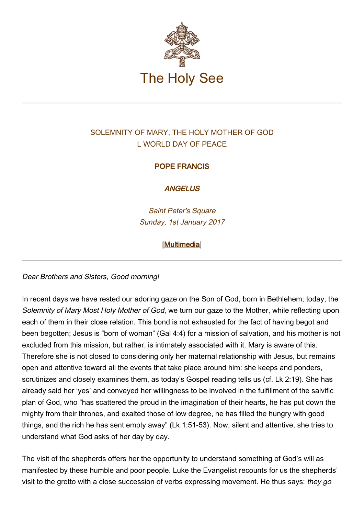

# SOLEMNITY OF MARY, THE HOLY MOTHER OF GOD L WORLD DAY OF PEACE

## POPE FRANCIS

#### **ANGELUS**

Saint Peter's Square Sunday, 1st January 2017

### [\[Multimedia](http://w2.vatican.va/content/francesco/en/events/event.dir.html/content/vaticanevents/en/2017/1/1/angelus.html)]

Dear Brothers and Sisters, Good morning!

In recent days we have rested our adoring gaze on the Son of God, born in Bethlehem; today, the Solemnity of Mary Most Holy Mother of God, we turn our gaze to the Mother, while reflecting upon each of them in their close relation. This bond is not exhausted for the fact of having begot and been begotten; Jesus is "born of woman" (Gal 4:4) for a mission of salvation, and his mother is not excluded from this mission, but rather, is intimately associated with it. Mary is aware of this. Therefore she is not closed to considering only her maternal relationship with Jesus, but remains open and attentive toward all the events that take place around him: she keeps and ponders, scrutinizes and closely examines them, as today's Gospel reading tells us (cf. Lk 2:19). She has already said her 'yes' and conveyed her willingness to be involved in the fulfillment of the salvific plan of God, who "has scattered the proud in the imagination of their hearts, he has put down the mighty from their thrones, and exalted those of low degree, he has filled the hungry with good things, and the rich he has sent empty away" (Lk 1:51-53). Now, silent and attentive, she tries to understand what God asks of her day by day.

The visit of the shepherds offers her the opportunity to understand something of God's will as manifested by these humble and poor people. Luke the Evangelist recounts for us the shepherds' visit to the grotto with a close succession of verbs expressing movement. He thus says: they go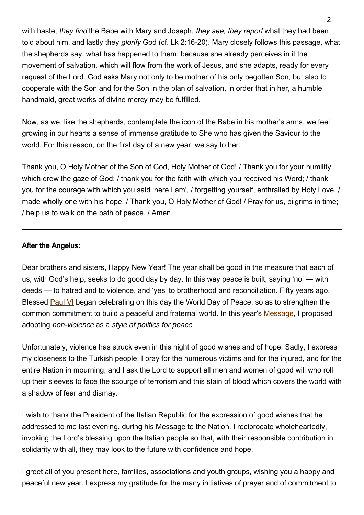with haste, they find the Babe with Mary and Joseph, they see, they report what they had been told about him, and lastly they glorify God (cf. Lk 2:16-20). Mary closely follows this passage, what the shepherds say, what has happened to them, because she already perceives in it the movement of salvation, which will flow from the work of Jesus, and she adapts, ready for every request of the Lord. God asks Mary not only to be mother of his only begotten Son, but also to cooperate with the Son and for the Son in the plan of salvation, in order that in her, a humble handmaid, great works of divine mercy may be fulfilled.

Now, as we, like the shepherds, contemplate the icon of the Babe in his mother's arms, we feel growing in our hearts a sense of immense gratitude to She who has given the Saviour to the world. For this reason, on the first day of a new year, we say to her:

Thank you, O Holy Mother of the Son of God, Holy Mother of God! / Thank you for your humility which drew the gaze of God; / thank you for the faith with which you received his Word; / thank you for the courage with which you said 'here I am', / forgetting yourself, enthralled by Holy Love, / made wholly one with his hope. / Thank you, O Holy Mother of God! / Pray for us, pilgrims in time; / help us to walk on the path of peace. / Amen.

#### After the Angelus:

Dear brothers and sisters, Happy New Year! The year shall be good in the measure that each of us, with God's help, seeks to do good day by day. In this way peace is built, saying 'no' — with deeds — to hatred and to violence, and 'yes' to brotherhood and reconciliation. Fifty years ago, Blessed [Paul VI](http://w2.vatican.va/content/paul-vi/en.html) began celebrating on this day the World Day of Peace, so as to strengthen the common commitment to build a peaceful and fraternal world. In this year's [Message,](http://w2.vatican.va/content/francesco/en/messages/peace/documents/papa-francesco_20161208_messaggio-l-giornata-mondiale-pace-2017.html) I proposed adopting non-violence as a style of politics for peace.

Unfortunately, violence has struck even in this night of good wishes and of hope. Sadly, I express my closeness to the Turkish people; I pray for the numerous victims and for the injured, and for the entire Nation in mourning, and I ask the Lord to support all men and women of good will who roll up their sleeves to face the scourge of terrorism and this stain of blood which covers the world with a shadow of fear and dismay.

I wish to thank the President of the Italian Republic for the expression of good wishes that he addressed to me last evening, during his Message to the Nation. I reciprocate wholeheartedly, invoking the Lord's blessing upon the Italian people so that, with their responsible contribution in solidarity with all, they may look to the future with confidence and hope.

I greet all of you present here, families, associations and youth groups, wishing you a happy and peaceful new year. I express my gratitude for the many initiatives of prayer and of commitment to